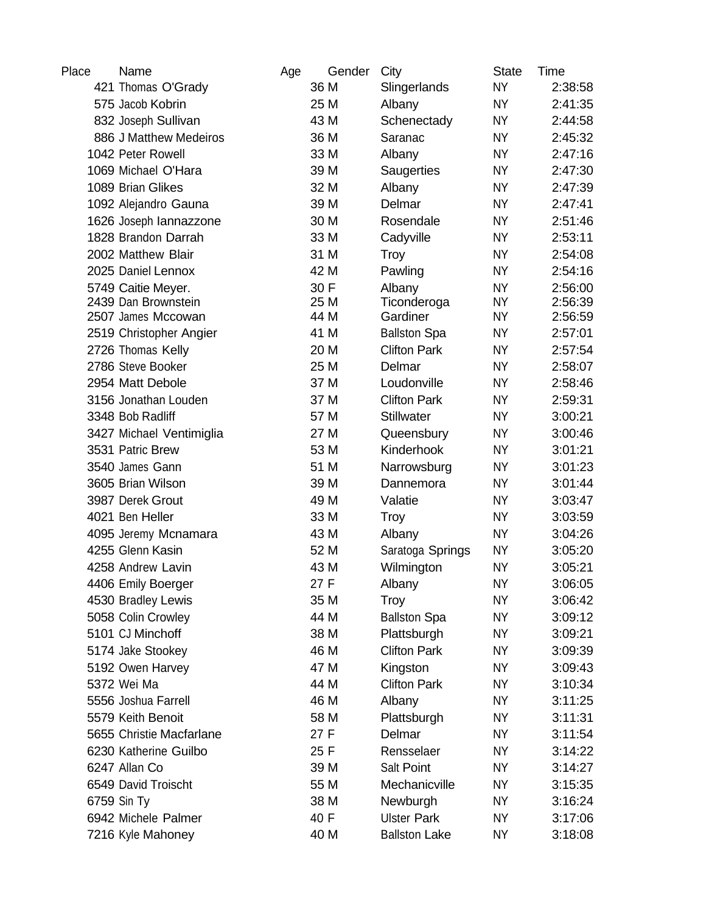| Place | Name                     | Age | Gender | City                 | <b>State</b> | Time    |
|-------|--------------------------|-----|--------|----------------------|--------------|---------|
|       | 421 Thomas O'Grady       |     | 36 M   | Slingerlands         | <b>NY</b>    | 2:38:58 |
|       | 575 Jacob Kobrin         |     | 25 M   | Albany               | <b>NY</b>    | 2:41:35 |
|       | 832 Joseph Sullivan      |     | 43 M   | Schenectady          | <b>NY</b>    | 2:44:58 |
|       | 886 J Matthew Medeiros   |     | 36 M   | Saranac              | <b>NY</b>    | 2:45:32 |
|       | 1042 Peter Rowell        |     | 33 M   | Albany               | <b>NY</b>    | 2:47:16 |
|       | 1069 Michael O'Hara      |     | 39 M   | Saugerties           | <b>NY</b>    | 2:47:30 |
|       | 1089 Brian Glikes        |     | 32 M   | Albany               | <b>NY</b>    | 2:47:39 |
|       | 1092 Alejandro Gauna     |     | 39 M   | Delmar               | <b>NY</b>    | 2:47:41 |
|       | 1626 Joseph lannazzone   |     | 30 M   | Rosendale            | <b>NY</b>    | 2:51:46 |
|       | 1828 Brandon Darrah      |     | 33 M   | Cadyville            | <b>NY</b>    | 2:53:11 |
|       | 2002 Matthew Blair       |     | 31 M   | <b>Troy</b>          | <b>NY</b>    | 2:54:08 |
|       | 2025 Daniel Lennox       |     | 42 M   | Pawling              | <b>NY</b>    | 2:54:16 |
|       | 5749 Caitie Meyer.       |     | 30 F   | Albany               | <b>NY</b>    | 2:56:00 |
|       | 2439 Dan Brownstein      |     | 25 M   | Ticonderoga          | <b>NY</b>    | 2:56:39 |
|       | 2507 James Mccowan       |     | 44 M   | Gardiner             | <b>NY</b>    | 2:56:59 |
|       | 2519 Christopher Angier  |     | 41 M   | <b>Ballston Spa</b>  | <b>NY</b>    | 2:57:01 |
|       | 2726 Thomas Kelly        |     | 20 M   | <b>Clifton Park</b>  | <b>NY</b>    | 2:57:54 |
|       | 2786 Steve Booker        |     | 25 M   | Delmar               | <b>NY</b>    | 2:58:07 |
|       | 2954 Matt Debole         |     | 37 M   | Loudonville          | <b>NY</b>    | 2:58:46 |
|       | 3156 Jonathan Louden     |     | 37 M   | <b>Clifton Park</b>  | <b>NY</b>    | 2:59:31 |
|       | 3348 Bob Radliff         |     | 57 M   | <b>Stillwater</b>    | <b>NY</b>    | 3:00:21 |
|       | 3427 Michael Ventimiglia |     | 27 M   | Queensbury           | <b>NY</b>    | 3:00:46 |
|       | 3531 Patric Brew         |     | 53 M   | Kinderhook           | <b>NY</b>    | 3:01:21 |
|       | 3540 James Gann          |     | 51 M   | Narrowsburg          | <b>NY</b>    | 3:01:23 |
|       | 3605 Brian Wilson        |     | 39 M   | Dannemora            | <b>NY</b>    | 3:01:44 |
|       | 3987 Derek Grout         |     | 49 M   | Valatie              | <b>NY</b>    | 3:03:47 |
|       | 4021 Ben Heller          |     | 33 M   | <b>Troy</b>          | <b>NY</b>    | 3:03:59 |
|       | 4095 Jeremy Mcnamara     |     | 43 M   | Albany               | <b>NY</b>    | 3:04:26 |
|       | 4255 Glenn Kasin         |     | 52 M   | Saratoga Springs     | <b>NY</b>    | 3:05:20 |
|       | 4258 Andrew Lavin        |     | 43 M   | Wilmington           | <b>NY</b>    | 3:05:21 |
|       | 4406 Emily Boerger       |     | 27 F   | Albany               | NΥ           | 3:06:05 |
|       | 4530 Bradley Lewis       |     | 35 M   | Troy                 | <b>NY</b>    | 3:06:42 |
|       | 5058 Colin Crowley       |     | 44 M   | <b>Ballston Spa</b>  | <b>NY</b>    | 3:09:12 |
|       | 5101 CJ Minchoff         |     | 38 M   | Plattsburgh          | <b>NY</b>    | 3:09:21 |
|       | 5174 Jake Stookey        |     | 46 M   | <b>Clifton Park</b>  | <b>NY</b>    | 3:09:39 |
|       | 5192 Owen Harvey         |     | 47 M   | Kingston             | <b>NY</b>    | 3:09:43 |
|       | 5372 Wei Ma              |     | 44 M   | <b>Clifton Park</b>  | <b>NY</b>    | 3:10:34 |
|       | 5556 Joshua Farrell      |     | 46 M   | Albany               | <b>NY</b>    | 3:11:25 |
|       | 5579 Keith Benoit        |     | 58 M   | Plattsburgh          | <b>NY</b>    | 3:11:31 |
|       | 5655 Christie Macfarlane |     | 27 F   | Delmar               | NY           | 3:11:54 |
|       | 6230 Katherine Guilbo    |     | 25 F   | Rensselaer           | <b>NY</b>    | 3:14:22 |
|       | 6247 Allan Co            |     | 39 M   | <b>Salt Point</b>    | <b>NY</b>    | 3:14:27 |
|       | 6549 David Troischt      |     | 55 M   | Mechanicville        | <b>NY</b>    | 3:15:35 |
|       | 6759 Sin Ty              |     | 38 M   | Newburgh             | <b>NY</b>    | 3:16:24 |
|       | 6942 Michele Palmer      |     | 40 F   | <b>Ulster Park</b>   | <b>NY</b>    | 3:17:06 |
|       | 7216 Kyle Mahoney        |     | 40 M   | <b>Ballston Lake</b> | <b>NY</b>    | 3:18:08 |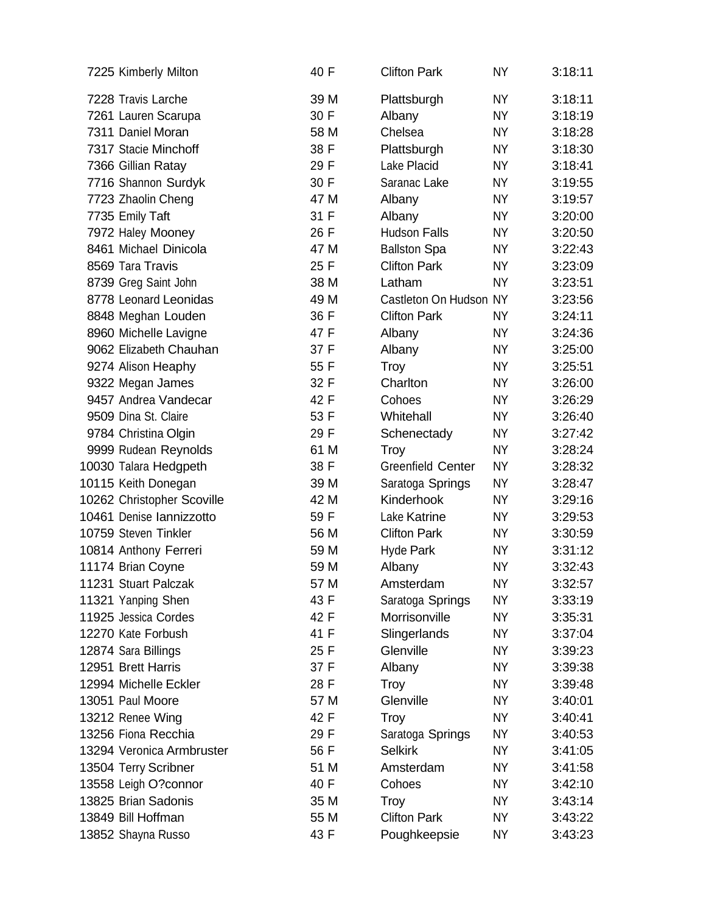| 7225 Kimberly Milton       | 40 F | <b>Clifton Park</b>      | <b>NY</b> | 3:18:11 |
|----------------------------|------|--------------------------|-----------|---------|
| 7228 Travis Larche         | 39 M | Plattsburgh              | <b>NY</b> | 3:18:11 |
| 7261 Lauren Scarupa        | 30 F | Albany                   | <b>NY</b> | 3:18:19 |
| 7311 Daniel Moran          | 58 M | Chelsea                  | NY.       | 3:18:28 |
| 7317 Stacie Minchoff       | 38 F | Plattsburgh              | NY        | 3:18:30 |
| 7366 Gillian Ratay         | 29 F | Lake Placid              | ΝY        | 3:18:41 |
| 7716 Shannon Surdyk        | 30 F | Saranac Lake             | NY.       | 3:19:55 |
| 7723 Zhaolin Cheng         | 47 M | Albany                   | NY        | 3:19:57 |
| 7735 Emily Taft            | 31 F | Albany                   | ΝY        | 3:20:00 |
| 7972 Haley Mooney          | 26 F | <b>Hudson Falls</b>      | <b>NY</b> | 3:20:50 |
| 8461 Michael Dinicola      | 47 M | <b>Ballston Spa</b>      | ΝY        | 3:22:43 |
| 8569 Tara Travis           | 25 F | <b>Clifton Park</b>      | NY.       | 3:23:09 |
| 8739 Greg Saint John       | 38 M | Latham                   | ΝY        | 3:23:51 |
| 8778 Leonard Leonidas      | 49 M | Castleton On Hudson NY   |           | 3:23:56 |
| 8848 Meghan Louden         | 36 F | <b>Clifton Park</b>      | NY.       | 3:24:11 |
| 8960 Michelle Lavigne      | 47 F | Albany                   | NY.       | 3:24:36 |
| 9062 Elizabeth Chauhan     | 37 F | Albany                   | NY.       | 3:25:00 |
| 9274 Alison Heaphy         | 55 F | <b>Troy</b>              | NY        | 3:25:51 |
| 9322 Megan James           | 32 F | Charlton                 | NY.       | 3:26:00 |
| 9457 Andrea Vandecar       | 42 F | Cohoes                   | <b>NY</b> | 3:26:29 |
| 9509 Dina St. Claire       | 53 F | Whitehall                | ΝY        | 3:26:40 |
| 9784 Christina Olgin       | 29 F | Schenectady              | <b>NY</b> | 3:27:42 |
| 9999 Rudean Reynolds       | 61 M | Troy                     | NY        | 3:28:24 |
| 10030 Talara Hedgpeth      | 38 F | <b>Greenfield Center</b> | <b>NY</b> | 3:28:32 |
| 10115 Keith Donegan        | 39 M | Saratoga Springs         | NY        | 3:28:47 |
| 10262 Christopher Scoville | 42 M | Kinderhook               | NY.       | 3:29:16 |
| 10461 Denise Iannizzotto   | 59 F | Lake Katrine             | ΝY        | 3:29:53 |
| 10759 Steven Tinkler       | 56 M | <b>Clifton Park</b>      | NY        | 3:30:59 |
| 10814 Anthony Ferreri      | 59 M | <b>Hyde Park</b>         | ΝY        | 3:31:12 |
| 11174 Brian Coyne          | 59 M | Albany                   | <b>NY</b> | 3:32:43 |
| 11231 Stuart Palczak       | 57 M | Amsterdam                | <b>NY</b> | 3:32:57 |
| 11321 Yanping Shen         | 43 F | Saratoga Springs         | <b>NY</b> | 3:33:19 |
| 11925 Jessica Cordes       | 42 F | Morrisonville            | ΝY        | 3:35:31 |
| 12270 Kate Forbush         | 41 F | Slingerlands             | NY        | 3:37:04 |
| 12874 Sara Billings        | 25 F | Glenville                | ΝY        | 3:39:23 |
| 12951 Brett Harris         | 37 F | Albany                   | NY        | 3:39:38 |
| 12994 Michelle Eckler      | 28 F | Troy                     | ΝY        | 3:39:48 |
| 13051 Paul Moore           | 57 M | Glenville                | NΥ        | 3:40:01 |
| 13212 Renee Wing           | 42 F | <b>Troy</b>              | NY        | 3:40:41 |
| 13256 Fiona Recchia        | 29 F | Saratoga Springs         | NY.       | 3:40:53 |
| 13294 Veronica Armbruster  | 56 F | <b>Selkirk</b>           | NY        | 3:41:05 |
| 13504 Terry Scribner       | 51 M | Amsterdam                | ΝY        | 3:41:58 |
| 13558 Leigh O?connor       | 40 F | Cohoes                   | ΝY        | 3:42:10 |
| 13825 Brian Sadonis        | 35 M | <b>Troy</b>              | NY        | 3:43:14 |
| 13849 Bill Hoffman         | 55 M | <b>Clifton Park</b>      | ΝY        | 3:43:22 |
| 13852 Shayna Russo         | 43 F | Poughkeepsie             | NY        | 3:43:23 |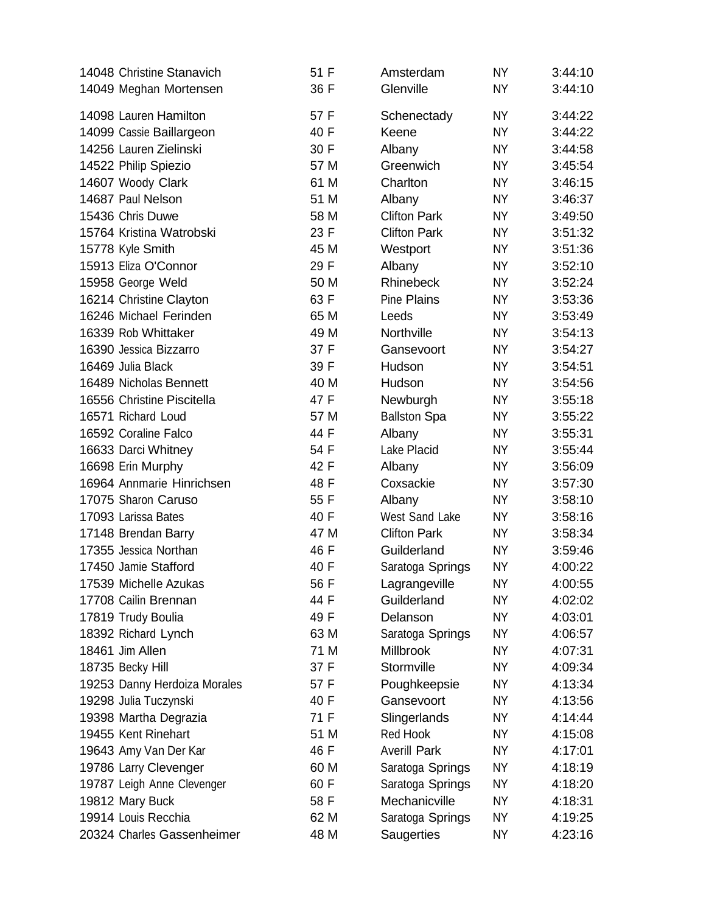| 14048 Christine Stanavich    | 51 F | Amsterdam             | <b>NY</b> | 3:44:10 |
|------------------------------|------|-----------------------|-----------|---------|
| 14049 Meghan Mortensen       | 36 F | Glenville             | <b>NY</b> | 3:44:10 |
| 14098 Lauren Hamilton        | 57 F | Schenectady           | <b>NY</b> | 3:44:22 |
| 14099 Cassie Baillargeon     | 40 F | Keene                 | <b>NY</b> | 3:44:22 |
| 14256 Lauren Zielinski       | 30 F | Albany                | NY.       | 3:44:58 |
| 14522 Philip Spiezio         | 57 M | Greenwich             | <b>NY</b> | 3:45:54 |
| 14607 Woody Clark            | 61 M | Charlton              | NY        | 3:46:15 |
| 14687 Paul Nelson            | 51 M | Albany                | <b>NY</b> | 3:46:37 |
| 15436 Chris Duwe             | 58 M | <b>Clifton Park</b>   | ΝY        | 3:49:50 |
| 15764 Kristina Watrobski     | 23 F | <b>Clifton Park</b>   | NY.       | 3:51:32 |
| 15778 Kyle Smith             | 45 M | Westport              | <b>NY</b> | 3:51:36 |
| 15913 Eliza O'Connor         | 29 F | Albany                | NY.       | 3:52:10 |
| 15958 George Weld            | 50 M | Rhinebeck             | <b>NY</b> | 3:52:24 |
| 16214 Christine Clayton      | 63 F | <b>Pine Plains</b>    | NY        | 3:53:36 |
| 16246 Michael Ferinden       | 65 M | Leeds                 | NY.       | 3:53:49 |
| 16339 Rob Whittaker          | 49 M | Northville            | ΝY        | 3:54:13 |
| 16390 Jessica Bizzarro       | 37 F | Gansevoort            | NY.       | 3:54:27 |
| 16469 Julia Black            | 39 F | Hudson                | <b>NY</b> | 3:54:51 |
| 16489 Nicholas Bennett       | 40 M | Hudson                | NY        | 3:54:56 |
| 16556 Christine Piscitella   | 47 F | Newburgh              | <b>NY</b> | 3:55:18 |
| 16571 Richard Loud           | 57 M | <b>Ballston Spa</b>   | ΝY        | 3:55:22 |
| 16592 Coraline Falco         | 44 F | Albany                | NY.       | 3:55:31 |
| 16633 Darci Whitney          | 54 F | Lake Placid           | NY        | 3:55:44 |
| 16698 Erin Murphy            | 42 F | Albany                | ΝY        | 3:56:09 |
| 16964 Annmarie Hinrichsen    | 48 F | Coxsackie             | <b>NY</b> | 3:57:30 |
| 17075 Sharon Caruso          | 55 F | Albany                | ΝY        | 3:58:10 |
| 17093 Larissa Bates          | 40 F | <b>West Sand Lake</b> | NY.       | 3:58:16 |
| 17148 Brendan Barry          | 47 M | <b>Clifton Park</b>   | ΝY        | 3:58:34 |
| 17355 Jessica Northan        | 46 F | Guilderland           | ΝY        | 3:59:46 |
| 17450 Jamie Stafford         | 40 F | Saratoga Springs      | <b>NY</b> | 4:00:22 |
| 17539 Michelle Azukas        | 56 F | Lagrangeville         | <b>NY</b> | 4:00:55 |
| 17708 Cailin Brennan         | 44 F | Guilderland           | ΝY        | 4:02:02 |
| 17819 Trudy Boulia           | 49 F | Delanson              | ΝY        | 4:03:01 |
| 18392 Richard Lynch          | 63 M | Saratoga Springs      | ΝY        | 4:06:57 |
| 18461 Jim Allen              | 71 M | <b>Millbrook</b>      | <b>NY</b> | 4:07:31 |
| 18735 Becky Hill             | 37 F | Stormville            | ΝY        | 4:09:34 |
| 19253 Danny Herdoiza Morales | 57 F | Poughkeepsie          | <b>NY</b> | 4:13:34 |
| 19298 Julia Tuczynski        | 40 F | Gansevoort            | ΝY        | 4:13:56 |
| 19398 Martha Degrazia        | 71 F | Slingerlands          | NY        | 4:14:44 |
| 19455 Kent Rinehart          | 51 M | Red Hook              | ΝY        | 4:15:08 |
| 19643 Amy Van Der Kar        | 46 F | <b>Averill Park</b>   | ΝY        | 4:17:01 |
| 19786 Larry Clevenger        | 60 M | Saratoga Springs      | <b>NY</b> | 4:18:19 |
| 19787 Leigh Anne Clevenger   | 60 F | Saratoga Springs      | ΝY        | 4:18:20 |
| 19812 Mary Buck              | 58 F | Mechanicville         | <b>NY</b> | 4:18:31 |
| 19914 Louis Recchia          | 62 M | Saratoga Springs      | <b>NY</b> | 4:19:25 |
| 20324 Charles Gassenheimer   | 48 M | Saugerties            | <b>NY</b> | 4:23:16 |